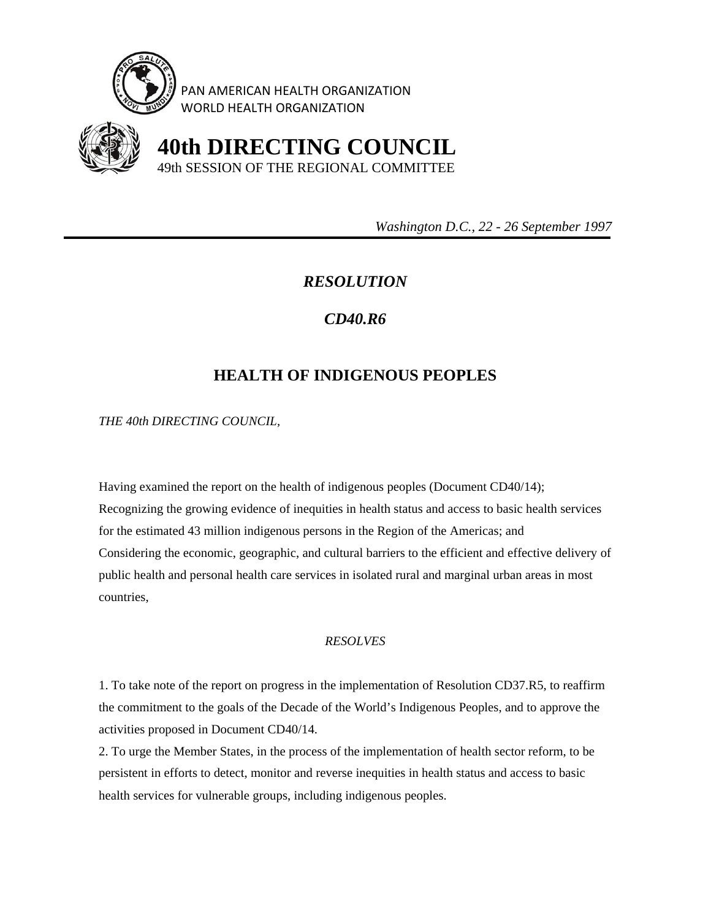

PAN AMERICAN HEALTH ORGANIZATION WORLD HEALTH ORGANIZATION



 **40th DIRECTING COUNCIL** 49th SESSION OF THE REGIONAL COMMITTEE

 *Washington D.C., 22 - 26 September 1997* 

## *RESOLUTION*

## *CD40.R6*

## **HEALTH OF INDIGENOUS PEOPLES**

*THE 40th DIRECTING COUNCIL,* 

Having examined the report on the health of indigenous peoples (Document CD40/14); Recognizing the growing evidence of inequities in health status and access to basic health services for the estimated 43 million indigenous persons in the Region of the Americas; and Considering the economic, geographic, and cultural barriers to the efficient and effective delivery of public health and personal health care services in isolated rural and marginal urban areas in most countries,

## *RESOLVES*

1. To take note of the report on progress in the implementation of Resolution CD37.R5, to reaffirm the commitment to the goals of the Decade of the World's Indigenous Peoples, and to approve the activities proposed in Document CD40/14.

2. To urge the Member States, in the process of the implementation of health sector reform, to be persistent in efforts to detect, monitor and reverse inequities in health status and access to basic health services for vulnerable groups, including indigenous peoples.